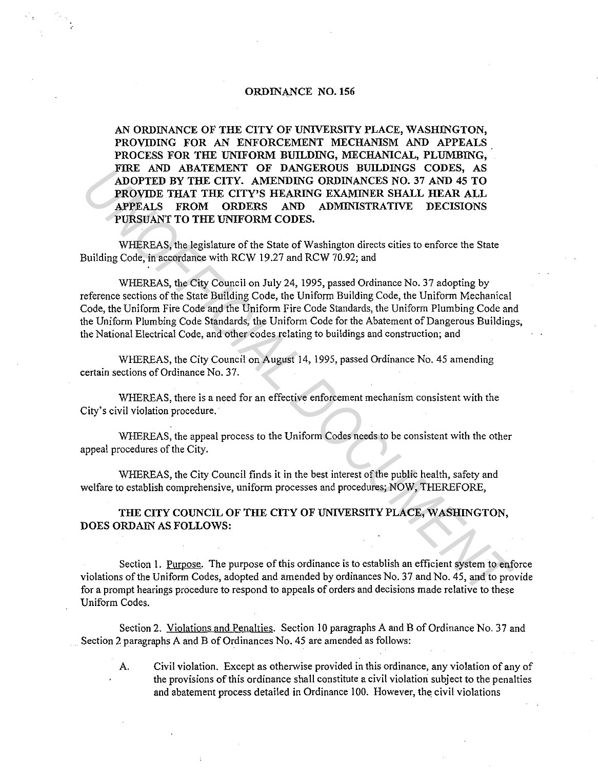## ORDINANCE NO. 156

AN ORDINANCE OF THE CITY OF UNIVERSITY PLACE, WASHINGTON, PROVIDING FOR AN ENFORCEMENT MECHANISM AND APPEALS PROCESS FOR THE UNIFORM BUILDING, MECHANICAL, PLUMBING, FIRE AND ABATEMENT OF DANGEROUS BUILDINGS CODES, AS ADOPTED BY THE CITY. AMENDING ORDINANCES NO. 37 AND 45 TO PROVIDE THAT THE CITY'S HEARING EXAMINER SHALL HEAR ALL APPEALS FROM ORDERS AND ADMINISTRATIVE DECISIONS PURSUANT TO THE UNIFORM CODES.

WHEREAS, the legislature of the State of Washington directs cities to enforce the State Building Code, in accordance with RCW 19.27 and RCW 70.92; and

WHEREAS, the City Council on July 24, 1995, passed Ordinance No. 37 adopting by reference sections of the State Building Code, the Uniform Building Code, the Uniform Mechanical Code, the Uniform Fire Code and the Uniform Fire Code Standards, the Uniform Plumbing Code and the Uniform Plumbing Code Standards, the Uniform Code for the Abatement of Dangerous Buildings, the National Electrical Code, and other codes relating to buildings and construction; and FIKE AND ABATEMENT OF DANCEACOS SOLUSING CODES. AS<br> **ADOPTED BY THE CITY.** AMENDING ORDINANCES NO. 37 AND 45 TO<br> **PROVIDE THAT THE CITY.** AMENDING ORDINANCES NO. 37 AND 45 TO<br> **PROVIDE THAT THE CITY.** AMENDING ORDINATER ST

WHEREAS, the City Council on August 14, 1995, passed Ordinance No. 45 amending certain sections of Ordinance No. 37.

WHEREAS, there is a need for an effective enforcement mechanism consistent with the City's civil violation procedure.

WHEREAS, the appeal process to the Uniform Codes needs to be consistent with the other appeal procedures of the City.

WHEREAS, the City Council finds it in the best interest of the public health, safety and welfare to establish comprehensive, uniform processes and procedures; NOW, THEREFORE,

THE CITY COUNCIL OF THE CITY OF UNIVERSITY PLACE, WASHINGTON, DOES ORDAIN AS FOLLOWS:

Section I. Purpose. The purpose of this ordinance is to establish an efficient system to enforce violations of the Uniform Codes, adopted and amended by ordinances No. 37 and No. 45, and to provide for a prompt hearings procedure to respond to appeals of orders and decisions made relative to these Uniform Codes.

Section 2. Violations and Penalties. Section IO paragraphs A and B of Ordinance No. 37 and . Section 2 paragraphs A and B of Ordinances No. 45 are amended as follows:

A. Civil violation. Except as otherwise provided in this ordinance, any violation of any of the provisions of this ordinance shall constitute a civil violation subject to the penalties and abatement process detailed in Ordinance 100. However, the civil violations